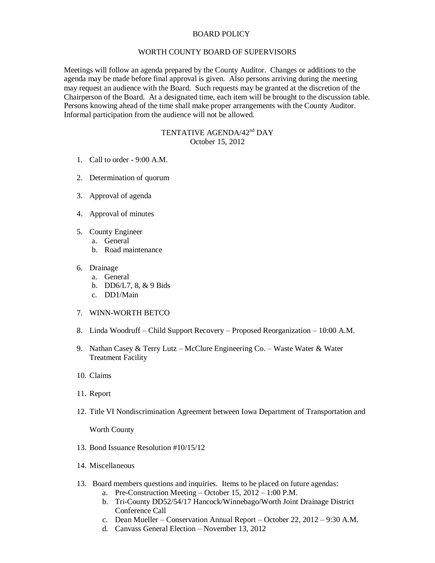## BOARD POLICY

## WORTH COUNTY BOARD OF SUPERVISORS

Meetings will follow an agenda prepared by the County Auditor. Changes or additions to the agenda may be made before final approval is given. Also persons arriving during the meeting may request an audience with the Board. Such requests may be granted at the discretion of the Chairperson of the Board. At a designated time, each item will be brought to the discussion table. Persons knowing ahead of the time shall make proper arrangements with the County Auditor. Informal participation from the audience will not be allowed.

## TENTATIVE AGENDA/42<sup>nd</sup> DAY October 15, 2012

- 1. Call to order 9:00 A.M.
- 2. Determination of quorum
- 3. Approval of agenda
- 4. Approval of minutes
- 5. County Engineer
	- a. General
	- b. Road maintenance
- 6. Drainage
	- a. General
	- b. DD6/L7, 8, & 9 Bids
	- c. DD1/Main
- 7. WINN-WORTH BETCO
- 8. Linda Woodruff Child Support Recovery Proposed Reorganization 10:00 A.M.
- 9. Nathan Casey & Terry Lutz McClure Engineering Co. Waste Water & Water Treatment Facility
- 10. Claims
- 11. Report
- 12. Title VI Nondiscrimination Agreement between Iowa Department of Transportation and

Worth County

- 13. Bond Issuance Resolution #10/15/12
- 14. Miscellaneous
- 13. Board members questions and inquiries. Items to be placed on future agendas:
	- a. Pre-Construction Meeting October 15, 2012 1:00 P.M.
	- b. Tri-County DD52/54/17 Hancock/Winnebago/Worth Joint Drainage District Conference Call
	- c. Dean Mueller Conservation Annual Report October 22, 2012 9:30 A.M.
	- d. Canvass General Election November 13, 2012